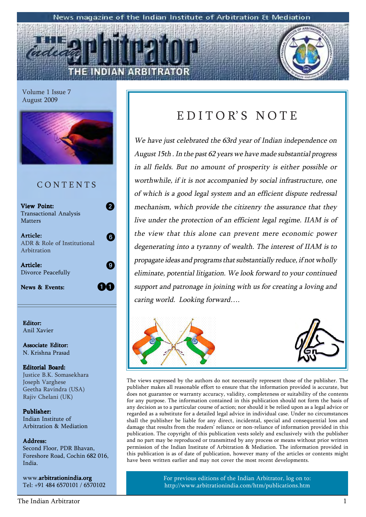#### News magazine of the Indian Institute of Arbitration & Mediation

Volume 1 Issue 7 August 2009



### C O N T E N T S

| <b>View Point:</b><br>Transactional Analysis |  |
|----------------------------------------------|--|
| <b>Matters</b><br>Article:                   |  |
| ADR & Role of Institutional<br>Arbitration   |  |
| Article:<br>Divorce Peacefully               |  |
| <b>News &amp; Events:</b>                    |  |

Editor: Anil Xavier

Associate Editor: N. Krishna Prasad

#### Editorial Board: Justice B.K. Somasekhara Joseph Varghese Geetha Ravindra (USA) Rajiv Chelani (UK)

Publisher: Indian Institute of Arbitration & Mediation

#### Address: Address:

Second Floor, PDR Bhavan, Foreshore Road, Cochin 682 016, India.

www.arbitrationindia.org Tel: +91 484 6570101 / 6570102

### EDITOR'S NOTE

We have just celebrated the 63rd year of Indian independence on August 15th . In the past 62 years we have made substantial progress in all fields. But no amount of prosperity is either possible or worthwhile, if it is not accompanied by social infrastructure, one of which is a good legal system and an efficient dispute redressal mechanism, which provide the citizenry the assurance that they live under the protection of an efficient legal regime. IIAM is of the view that this alone can prevent mere economic power degenerating into a tyranny of wealth. The interest of IIAM is to propagate ideas and programs that substantially reduce, if not wholly eliminate, potential litigation. We look forward to your continued support and patronage in joining with us for creating a loving and caring world. Looking forward....





The views expressed by the authors do not necessarily represent those of the publisher. The publisher makes all reasonable effort to ensure that the information provided is accurate, but does not guarantee or warranty accuracy, validity, completeness or suitability of the contents for any purpose. The information contained in this publication should not form the basis of any decision as to a particular course of action; nor should it be relied upon as a legal advice or regarded as a substitute for a detailed legal advice in individual case. Under no circumstances shall the publisher be liable for any direct, incidental, special and consequential loss and damage that results from the readers' reliance or non-reliance of information provided in this publication. The copyright of this publication vests solely and exclusively with the publisher and no part may be reproduced or transmitted by any process or means without prior written permission of the Indian Institute of Arbitration & Mediation. The information provided in this publication is as of date of publication, however many of the articles or contents might have been written earlier and may not cover the most recent developments.

> For previous editions of the Indian Arbitrator, log on to: http://www.arbitrationindia.com/htm/publications.htm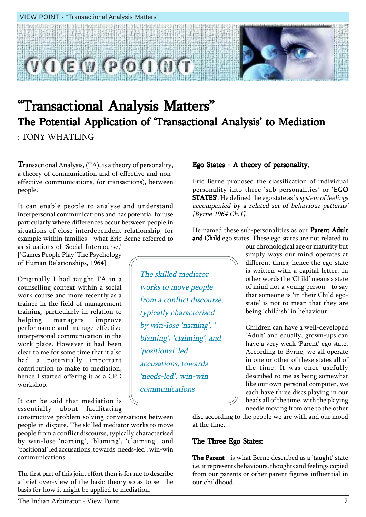

# "Transactional Analysis Matters" The Potential Application of 'Transactional Analysis' to Mediation

: TONY WHATLING

**T**ransactional Analysis,  $(TA)$ , is a theory of personality, a theory of communication and of effective and noneffective communications, (or transactions), between people.

It can enable people to analyse and understand interpersonal communications and has potential for use particularly where differences occur between people in situations of close interdependent relationship, for example within families - what Eric Berne referred to

as situations of 'Social Intercourse,' [ëGames People Playí The Psychology of Human Relationships, 1964].

Originally I had taught TA in a counselling context within a social work course and more recently as a trainer in the field of management training, particularly in relation to helping managers improve performance and manage effective interpersonal communication in the work place. However it had been clear to me for some time that it also had a potentially important contribution to make to mediation, hence I started offering it as a CPD workshop.

It can be said that mediation is essentially about facilitating

constructive problem solving conversations between people in dispute. The skilled mediator works to move people from a conflict discourse, typically characterised by win-lose 'naming', 'blaming', 'claiming', and 'positional' led accusations, towards 'needs-led', win-win communications.

The first part of this joint effort then is for me to describe a brief over-view of the basic theory so as to set the basis for how it might be applied to mediation.

#### Ego States - A theory of personality.

Eric Berne proposed the classification of individual personality into three 'sub-personalities' or 'EGO STATES'. He defined the ego state as 'a system of feelings accompanied by a related set of behaviour patterns' [Byrne 1964 Ch.1].

He named these sub-personalities as our Parent Adult and Child ego states. These ego states are not related to

our chronological age or maturity but simply ways our mind operates at different times; hence the ego-state is written with a capital letter. In other words the 'Child' means a state of mind not a young person - to say that someone is 'in their Child egostate' is not to mean that they are being 'childish' in behaviour.

Children can have a well-developed 'Adult' and equally, grown-ups can have a very weak 'Parent' ego state. According to Byrne, we all operate in one or other of these states all of the time. It was once usefully described to me as being somewhat like our own personal computer, we each have three discs playing in our heads all of the time, with the playing needle moving from one to the other

disc according to the people we are with and our mood at the time.

#### The Three Ego States:

**The Parent** - is what Berne described as a 'taught' state i.e. it represents behaviours, thoughts and feelings copied from our parents or other parent figures influential in our childhood.

The skilled mediator works to move people from a conflict discourse, typically characterised by win-lose 'naming', ' blaming', 'claiming', and 'positional' led accusations, towards 'needs-led', win-win communications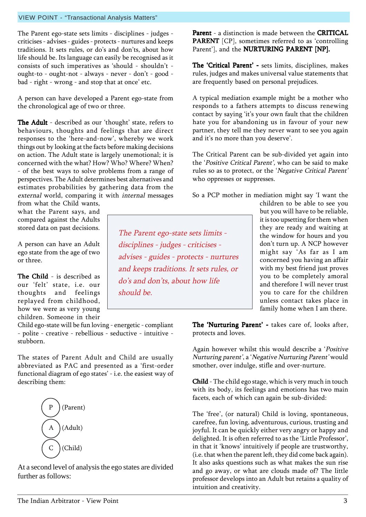The Parent ego-state sets limits - disciplines - judges criticises - advises - guides - protects - nurtures and keeps traditions. It sets rules, or do's and don'ts, about how life should be. Its language can easily be recognised as it consists of such imperatives as 'should - shouldn't ought-to - ought-not - always - never - don't - good bad - right - wrong - and stop that at once' etc.

A person can have developed a Parent ego-state from the chronological age of two or three.

The Adult - described as our 'thought' state, refers to behaviours, thoughts and feelings that are direct responses to the 'here-and-now', whereby we work things out by looking at the facts before making decisions on action. The Adult state is largely unemotional; it is concerned with the what? How? Who? Where? When? - of the best ways to solve problems from a range of perspectives. The Adult determines best alternatives and estimates probabilities by gathering data from the external world, comparing it with internal messages

from what the Child wants, what the Parent says, and compared against the Adults stored data on past decisions.

A person can have an Adult ego state from the age of two or three.

The Child - is described as our 'felt' state, i.e. our thoughts and feelings replayed from childhood, how we were as very young children. Someone in their

Child ego-state will be fun loving - energetic - compliant - polite - creative - rebellious - seductive - intuitive stubborn.

The states of Parent Adult and Child are usually abbreviated as PAC and presented as a 'first-order functional diagram of ego states' - i.e. the easiest way of describing them:



At a second level of analysis the ego states are divided further as follows:

Parent - a distinction is made between the CRITICAL PARENT [CP], sometimes referred to as 'controlling Parent'], and the **NURTURING PARENT** [NP].

The 'Critical Parent' - sets limits, disciplines, makes rules, judges and makes universal value statements that are frequently based on personal prejudices.

A typical mediation example might be a mother who responds to a fathers attempts to discuss renewing contact by saying 'it's your own fault that the children hate you for abandoning us in favour of your new partner, they tell me they never want to see you again and it's no more than you deserve'.

The Critical Parent can be sub-divided yet again into the 'Positive Critical Parent', who can be said to make rules so as to protect, or the 'Negative Critical Parent' who oppresses or suppresses.

So a PCP mother in mediation might say 'I want the

The Parent ego-state sets limits disciplines - judges - criticises advises - guides - protects - nurtures and keeps traditions. It sets rules, or do's and don'ts, about how life should be.

children to be able to see you but you will have to be reliable, it is too upsetting for them when they are ready and waiting at the window for hours and you donít turn up. A NCP however might say 'As far as I am concerned you having an affair with my best friend just proves you to be completely amoral and therefore I will never trust you to care for the children unless contact takes place in family home when I am there.

The 'Nurturing Parent' - takes care of, looks after, protects and loves.

Again however whilst this would describe a 'Positive Nurturing parent', a 'Negative Nurturing Parent' would smother, over indulge, stifle and over-nurture.

**Child** - The child ego stage, which is very much in touch with its body, its feelings and emotions has two main facets, each of which can again be sub-divided:

The 'free', (or natural) Child is loving, spontaneous, carefree, fun loving, adventurous, curious, trusting and joyful. It can be quickly either very angry or happy and delighted. It is often referred to as the 'Little Professor', in that it 'knows' intuitively if people are trustworthy, (i.e. that when the parent left, they did come back again). It also asks questions such as what makes the sun rise and go away, or what are clouds made of? The little professor develops into an Adult but retains a quality of intuition and creativity.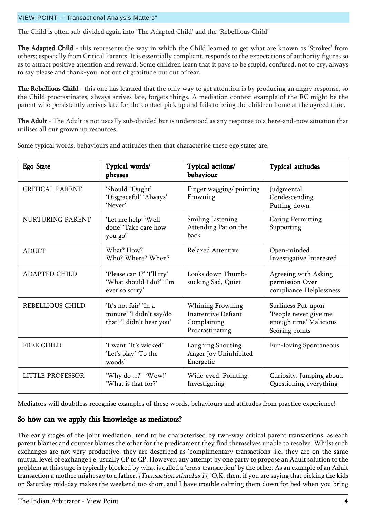#### VIEW POINT - "Transactional Analysis Matters"

The Child is often sub-divided again into 'The Adapted Child' and the 'Rebellious Child'

**The Adapted Child** - this represents the way in which the Child learned to get what are known as 'Strokes' from others; especially from Critical Parents. It is essentially compliant, responds to the expectations of authority figures so as to attract positive attention and reward. Some children learn that it pays to be stupid, confused, not to cry, always to say please and thank-you, not out of gratitude but out of fear.

The Rebellious Child - this one has learned that the only way to get attention is by producing an angry response, so the Child procrastinates, always arrives late, forgets things. A mediation context example of the RC might be the parent who persistently arrives late for the contact pick up and fails to bring the children home at the agreed time.

The Adult - The Adult is not usually sub-divided but is understood as any response to a here-and-now situation that utilises all our grown up resources.

| <b>Ego State</b>       | Typical words/<br>phrases                                                      | Typical actions/<br>behaviour                                                    | <b>Typical attitudes</b>                                                                |
|------------------------|--------------------------------------------------------------------------------|----------------------------------------------------------------------------------|-----------------------------------------------------------------------------------------|
| <b>CRITICAL PARENT</b> | 'Should' 'Ought'<br>'Disgraceful' 'Always'<br>'Never'                          | Finger wagging/pointing<br>Frowning                                              | Judgmental<br>Condescending<br>Putting-down                                             |
| NURTURING PARENT       | 'Let me help' 'Well<br>done' 'Take care how<br>you go"                         | <b>Smiling Listening</b><br>Attending Pat on the<br>back                         | <b>Caring Permitting</b><br>Supporting                                                  |
| <b>ADULT</b>           | What? How?<br>Who? Where? When?                                                | Relaxed Attentive                                                                | Open-minded<br>Investigative Interested                                                 |
| <b>ADAPTED CHILD</b>   | 'Please can I?' 'I'll try'<br>'What should I do?' 'I'm<br>ever so sorry'       | Looks down Thumb-<br>sucking Sad, Quiet                                          | Agreeing with Asking<br>permission Over<br>compliance Helplessness                      |
| REBELLIOUS CHILD       | 'It's not fair' 'In a<br>minute' 'I didn't say/do<br>that' 'I didn't hear you' | Whining Frowning<br><b>Inattentive Defiant</b><br>Complaining<br>Procrastinating | Surliness Put-upon<br>'People never give me<br>enough time' Malicious<br>Scoring points |
| <b>FREE CHILD</b>      | 'I want' 'It's wicked"<br>'Let's play' 'To the<br>woods'                       | Laughing Shouting<br>Anger Joy Uninhibited<br>Energetic                          | Fun-loving Spontaneous                                                                  |
| LITTLE PROFESSOR       | 'Why do ?' 'Wow!'<br>'What is that for?'                                       | Wide-eyed. Pointing.<br>Investigating                                            | Curiosity. Jumping about.<br>Questioning everything                                     |

Some typical words, behaviours and attitudes then that characterise these ego states are:

Mediators will doubtless recognise examples of these words, behaviours and attitudes from practice experience!

#### So how can we apply this knowledge as mediators?

The early stages of the joint mediation, tend to be characterised by two-way critical parent transactions, as each parent blames and counter blames the other for the predicament they find themselves unable to resolve. Whilst such exchanges are not very productive, they are described as 'complimentary transactions' i.e. they are on the same mutual level of exchange i.e. usually CP to CP. However, any attempt by one party to propose an Adult solution to the problem at this stage is typically blocked by what is called a 'cross-transaction' by the other. As an example of an Adult transaction a mother might say to a father, [Transaction stimulus 1], 'O.K. then, if you are saying that picking the kids on Saturday mid-day makes the weekend too short, and I have trouble calming them down for bed when you bring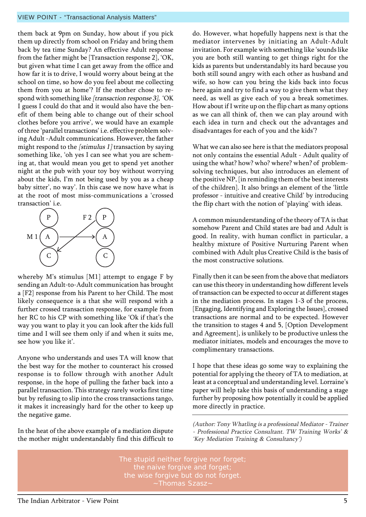#### VIEW POINT - "Transactional Analysis Matters"

them back at 9pm on Sunday, how about if you pick them up directly from school on Friday and bring them back by tea time Sunday? An effective Adult response from the father might be [Transaction response 2], 'OK, but given what time I can get away from the office and how far it is to drive, I would worry about being at the school on time, so how do you feel about me collecting them from you at home? If the mother chose to respond with something like [transaction response 3], 'OK I guess I could do that and it would also have the benefit of them being able to change out of their school clothes before you arrive', we would have an example of three 'parallel transactions' i.e. effective problem solving Adult -Adult communications. However, the father might respond to the  $\int$ stimulus 1 $\int$ transaction by saying something like, 'oh yes I can see what you are scheming at, that would mean you get to spend yet another night at the pub with your toy boy without worrying about the kids, I'm not being used by you as a cheap baby sitter', no way'. In this case we now have what is at the root of most miss-communications a 'crossed transaction' *i.e.* 



whereby M's stimulus  $[M1]$  attempt to engage F by sending an Adult-to-Adult communication has brought a [F2] response from his Parent to her Child. The most likely consequence is a that she will respond with a further crossed transaction response, for example from her RC to his CP with something like 'Ok if that's the way you want to play it you can look after the kids full time and I will see them only if and when it suits me, see how you like it'.

Anyone who understands and uses TA will know that the best way for the mother to counteract his crossed response is to follow through with another Adult response, in the hope of pulling the father back into a parallel transaction. This strategy rarely works first time but by refusing to slip into the cross transactions tango, it makes it increasingly hard for the other to keep up the negative game.

In the heat of the above example of a mediation dispute the mother might understandably find this difficult to

do. However, what hopefully happens next is that the mediator intervenes by initiating an Adult-Adult invitation. For example with something like 'sounds like you are both still wanting to get things right for the kids as parents but understandably its hard because you both still sound angry with each other as husband and wife, so how can you bring the kids back into focus here again and try to find a way to give them what they need, as well as give each of you a break sometimes. How about if I write up on the flip chart as many options as we can all think of, then we can play around with each idea in turn and check out the advantages and disadvantages for each of you and the kids'?

What we can also see here is that the mediators proposal not only contains the essential Adult - Adult quality of using the what? how? who? where? when? of problemsolving techniques, but also introduces an element of the positive NP, [in reminding them of the best interests of the children]. It also brings an element of the 'little professor - intuitive and creative Child' by introducing the flip chart with the notion of 'playing' with ideas.

A common misunderstanding of the theory of TA is that somehow Parent and Child states are bad and Adult is good. In reality, with human conflict in particular, a healthy mixture of Positive Nurturing Parent when combined with Adult plus Creative Child is the basis of the most constructive solutions.

Finally then it can be seen from the above that mediators can use this theory in understanding how different levels of transaction can be expected to occur at different stages in the mediation process. In stages 1-3 of the process, [Engaging, Identifying and Exploring the Issues], crossed transactions are normal and to be expected. However the transition to stages 4 and 5, [Option Development and Agreement], is unlikely to be productive unless the mediator initiates, models and encourages the move to complimentary transactions.

I hope that these ideas go some way to explaining the potential for applying the theory of TA to mediation, at least at a conceptual and understanding level. Lorraine's paper will help take this basis of understanding a stage further by proposing how potentially it could be applied more directly in practice.

(Author: Tony Whatling is a professional Mediator - Trainer - Professional Practice Consultant. TW Training Works' & 'Key Mediation Training & Consultancy')

The stupid neither forgive nor forget; the naive forgive and forget; the wise forgive but do not forget. ~Thomas Szasz~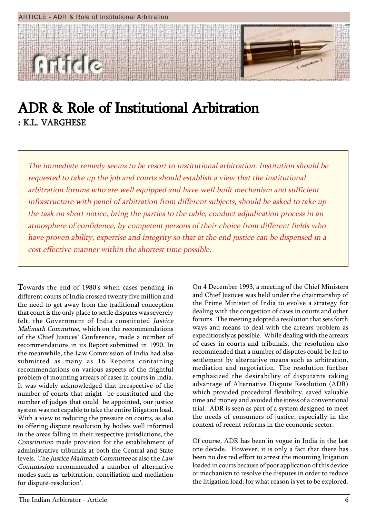

### ADR & Role of Institutional Arbitration : K.L. VARGHESE

The immediate remedy seems to be resort to institutional arbitration. Institution should be requested to take up the job and courts should establish a view that the institutional arbitration forums who are well equipped and have well built mechanism and sufficient infrastructure with panel of arbitration from different subjects, should be asked to take up the task on short notice, bring the parties to the table, conduct adjudication process in an atmosphere of confidence, by competent persons of their choice from different fields who have proven ability, expertise and integrity so that at the end justice can be dispensed in a cost effective manner within the shortest time possible.

Towards the end of 1980's when cases pending in different courts of India crossed twenty five million and the need to get away from the traditional conception that court is the only place to settle disputes was severely felt, the Government of India constituted *Justice* Malimath Committee, which on the recommendations of the Chief Justices' Conference, made a number of recommendations in its Report submitted in 1990. In the meanwhile, the Law Commission of India had also submitted as many as 16 Reports containing recommendations on various aspects of the frightful problem of mounting arrears of cases in courts in India. It was widely acknowledged that irrespective of the number of courts that might be constituted and the number of judges that could be appointed, our justice system was not capable to take the entire litigation load. With a view to reducing the pressure on courts, as also to offering dispute resolution by bodies well informed in the areas falling in their respective jurisdictions, the Constitution made provision for the establishment of administrative tribunals at both the Central and State levels. The Justice Malimath Committee as also the Law Commission recommended a number of alternative modes such as ëarbitration, conciliation and mediation for dispute-resolution'.

On 4 December 1993, a meeting of the Chief Ministers and Chief Justices was held under the chairmanship of the Prime Minister of India to evolve a strategy for dealing with the congestion of cases in courts and other forums. The meeting adopted a resolution that sets forth ways and means to deal with the arrears problem as expeditiously as possible. While dealing with the arrears of cases in courts and tribunals, the resolution also recommended that a number of disputes could be led to settlement by alternative means such as arbitration, mediation and negotiation. The resolution further emphasized the desirability of disputants taking advantage of Alternative Dispute Resolution (ADR) which provided procedural flexibility, saved valuable time and money and avoided the stress of a conventional trial. ADR is seen as part of a system designed to meet the needs of consumers of justice, especially in the context of recent reforms in the economic sector.

Of course, ADR has been in vogue in India in the last one decade. However, it is only a fact that there has been no desired effort to arrest the mounting litigation loaded in courts because of poor application of this device or mechanism to resolve the disputes in order to reduce the litigation load; for what reason is yet to be explored.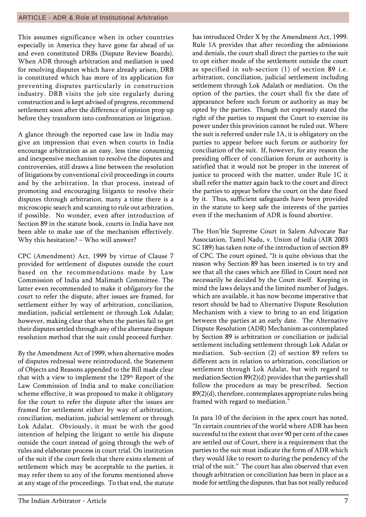This assumes significance when in other countries especially in America they have gone far ahead of us and even constituted DRBs (Dispute Review Boards). When ADR through arbitration and mediation is used for resolving disputes which have already arisen, DRB is constituted which has more of its application for preventing disputes particularly in construction industry. DRB visits the job site regularly during construction and is kept advised of progress, recommend settlement soon after the difference of opinion prop up before they transform into confrontation or litigation.

A glance through the reported case law in India may give an impression that even when courts in India encourage arbitration as an easy, less time consuming and inexpensive mechanism to resolve the disputes and controversies, still draws a line between the resolution of litigations by conventional civil proceedings in courts and by the arbitration. In that process, instead of promoting and encouraging litigants to resolve their disputes through arbitration, many a time there is a microscopic search and scanning to rule out arbitration, if possible. No wonder, even after introduction of Section 89 in the statute book, courts in India have not been able to make use of the mechanism effectively. Why this hesitation?  $-$  Who will answer?

CPC (Amendment) Act, 1999 by virtue of Clause 7 provided for settlement of disputes outside the court based on the recommendations made by Law Commission of India and Malimath Committee. The latter even recommended to make it obligatory for the court to refer the dispute, after issues are framed, for settlement either by way of arbitration, conciliation, mediation, judicial settlement or through Lok Adalat; however, making clear that when the parties fail to get their disputes settled through any of the alternate dispute resolution method that the suit could proceed further.

By the Amendment Act of 1999, when alternative modes of disputes redressal were reintroduced, the Statement of Objects and Reasons appended to the Bill made clear that with a view to implement the 129<sup>th</sup> Report of the Law Commission of India and to make conciliation scheme effective, it was proposed to make it obligatory for the court to refer the dispute after the issues are framed for settlement either by way of arbitration, conciliation, mediation, judicial settlement or through Lok Adalat. Obviously, it must be with the good intention of helping the litigant to settle his dispute outside the court instead of going through the web of rules and elaborate process in court trial. On institution of the suit if the court feels that there exists element of settlement which may be acceptable to the parties, it may refer them to any of the forums mentioned above at any stage of the proceedings. To that end, the statute

has introduced Order X by the Amendment Act, 1999. Rule 1A provides that after recording the admissions and denials, the court shall direct the parties to the suit to opt either mode of the settlement outside the court as specified in sub-section (1) of section 89 i.e. arbitration, conciliation, judicial settlement including settlement through Lok Adalath or mediation. On the option of the parties, the court shall fix the date of appearance before such forum or authority as may be opted by the parties. Though not expressly stated the right of the parties to request the Court to exercise its power under this provision cannot be ruled out. Where the suit is referred under rule 1A, it is obligatory on the parties to appear before such forum or authority for conciliation of the suit. If, however, for any reason the presiding officer of conciliation forum or authority is satisfied that it would not be proper in the interest of justice to proceed with the matter, under Rule 1C it shall refer the matter again back to the court and direct the parties to appear before the court on the date fixed by it. Thus, sufficient safeguards have been provided in the statute to keep safe the interests of the parties even if the mechanism of ADR is found abortive.

The Hon'ble Supreme Court in Salem Advocate Bar Association, Tamil Nadu, v. Union of India (AIR 2003 SC 189) has taken note of the introduction of section 89 of CPC. The court opined, "It is quite obvious that the reason why Section 89 has been inserted is to try and see that all the cases which are filled in Court need not necessarily be decided by the Court itself. Keeping in mind the laws delays and the limited number of Judges, which are available, it has now become imperative that resort should be had to Alternative Dispute Resolution Mechanism with a view to bring to an end litigation between the parties at an early date. The Alternative Dispute Resolution (ADR) Mechanism as contemplated by Section 89 is arbitration or conciliation or judicial settlement including settlement through Lok Adalat or mediation. Sub-section (2) of section 89 refers to different acts in relation to arbitration, conciliation or settlement through Lok Adalat, but with regard to mediation Section 89(2)(d) provides that the parties shall follow the procedure as may be prescribed. Section 89(2)(d), therefore, contemplates appropriate rules being framed with regard to mediation."

In para 10 of the decision in the apex court has noted, "In certain countries of the world where ADR has been successful to the extent that over 90 per cent of the cases are settled out of Court, there is a requirement that the parties to the suit must indicate the form of ADR which they would like to resort to during the pendency of the trial of the suit." The court has also observed that even though arbitration or conciliation has been in place as a mode for settling the disputes, that has not really reduced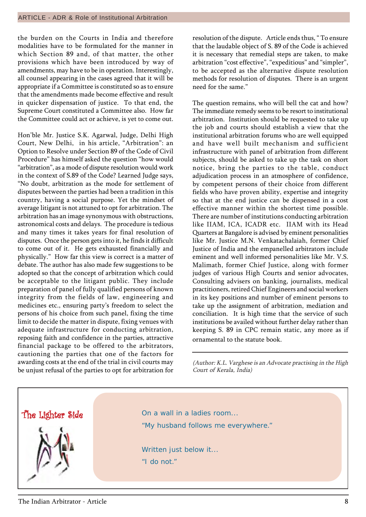the burden on the Courts in India and therefore modalities have to be formulated for the manner in which Section 89 and, of that matter, the other provisions which have been introduced by way of amendments, may have to be in operation. Interestingly, all counsel appearing in the cases agreed that it will be appropriate if a Committee is constituted so as to ensure that the amendments made become effective and result in quicker dispensation of justice. To that end, the Supreme Court constituted a Committee also. How far the Committee could act or achieve, is yet to come out.

Honíble Mr. Justice S.K. Agarwal, Judge, Delhi High Court, New Delhi, in his article, "Arbitration": an Option to Resolve under Section 89 of the Code of Civil Procedure" has himself asked the question "how would "arbitration", as a mode of dispute resolution would work in the context of S.89 of the Code? Learned Judge says, ìNo doubt, arbitration as the mode for settlement of disputes between the parties had been a tradition in this country, having a social purpose. Yet the mindset of average litigant is not attuned to opt for arbitration. The arbitration has an image synonymous with obstructions, astronomical costs and delays. The procedure is tedious and many times it takes years for final resolution of disputes. Once the person gets into it, he finds it difficult to come out of it. He gets exhausted financially and physically.î How far this view is correct is a matter of debate. The author has also made few suggestions to be adopted so that the concept of arbitration which could be acceptable to the litigant public. They include preparation of panel of fully qualified persons of known integrity from the fields of law, engineering and medicines etc., ensuring party's freedom to select the persons of his choice from such panel, fixing the time limit to decide the matter in dispute, fixing venues with adequate infrastructure for conducting arbitration, reposing faith and confidence in the parties, attractive financial package to be offered to the arbitrators, cautioning the parties that one of the factors for awarding costs at the end of the trial in civil courts may be unjust refusal of the parties to opt for arbitration for

resolution of the dispute. Article ends thus, "To ensure that the laudable object of S. 89 of the Code is achieved it is necessary that remedial steps are taken, to make arbitration "cost effective", "expeditious" and "simpler", to be accepted as the alternative dispute resolution methods for resolution of disputes. There is an urgent need for the same."

The question remains, who will bell the cat and how? The immediate remedy seems to be resort to institutional arbitration. Institution should be requested to take up the job and courts should establish a view that the institutional arbitration forums who are well equipped and have well built mechanism and sufficient infrastructure with panel of arbitration from different subjects, should be asked to take up the task on short notice, bring the parties to the table, conduct adjudication process in an atmosphere of confidence, by competent persons of their choice from different fields who have proven ability, expertise and integrity so that at the end justice can be dispensed in a cost effective manner within the shortest time possible. There are number of institutions conducting arbitration like IIAM, ICA, ICADR etc. IIAM with its Head Quarters at Bangalore is advised by eminent personalities like Mr. Justice M.N. Venkatachalaiah, former Chief Justice of India and the empanelled arbitrators include eminent and well informed personalities like Mr. V.S. Malimath, former Chief Justice, along with former judges of various High Courts and senior advocates, Consulting advisers on banking, journalists, medical practitioners, retired Chief Engineers and social workers in its key positions and number of eminent persons to take up the assignment of arbitration, mediation and conciliation. It is high time that the service of such institutions be availed without further delay rather than keeping S. 89 in CPC remain static, any more as if ornamental to the statute book.

(Author: K.L. Varghese is an Advocate practising in the High Court of Kerala, India)

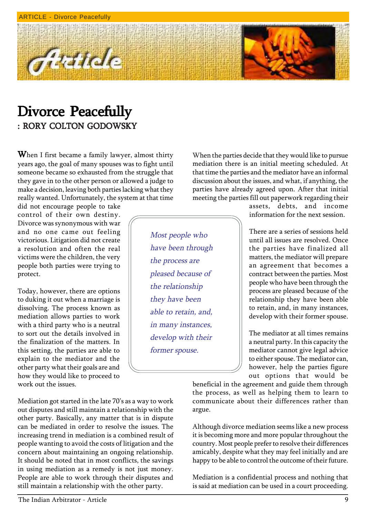

### Divorce Peacefully : RORY COLTON GODOWSKY

Article

When I first became a family lawyer, almost thirty years ago, the goal of many spouses was to fight until someone became so exhausted from the struggle that they gave in to the other person or allowed a judge to make a decision, leaving both parties lacking what they really wanted. Unfortunately, the system at that time

did not encourage people to take control of their own destiny. Divorce was synonymous with war and no one came out feeling victorious. Litigation did not create a resolution and often the real victims were the children, the very people both parties were trying to protect.

Today, however, there are options to duking it out when a marriage is dissolving. The process known as mediation allows parties to work with a third party who is a neutral to sort out the details involved in the finalization of the matters. In this setting, the parties are able to explain to the mediator and the other party what their goals are and how they would like to proceed to work out the issues.

Mediation got started in the late 70's as a way to work out disputes and still maintain a relationship with the other party. Basically, any matter that is in dispute can be mediated in order to resolve the issues. The increasing trend in mediation is a combined result of people wanting to avoid the costs of litigation and the concern about maintaining an ongoing relationship. It should be noted that in most conflicts, the savings in using mediation as a remedy is not just money. People are able to work through their disputes and still maintain a relationship with the other party.

When the parties decide that they would like to pursue mediation there is an initial meeting scheduled. At that time the parties and the mediator have an informal discussion about the issues, and what, if anything, the parties have already agreed upon. After that initial meeting the parties fill out paperwork regarding their

Most people who have been through the process are pleased because of the relationship they have been able to retain, and, in many instances, develop with their former spouse.

assets, debts, and income information for the next session.

There are a series of sessions held until all issues are resolved. Once the parties have finalized all matters, the mediator will prepare an agreement that becomes a contract between the parties. Most people who have been through the process are pleased because of the relationship they have been able to retain, and, in many instances, develop with their former spouse.

The mediator at all times remains a neutral party. In this capacity the mediator cannot give legal advice to either spouse. The mediator can, however, help the parties figure out options that would be

beneficial in the agreement and guide them through the process, as well as helping them to learn to communicate about their differences rather than argue.

Although divorce mediation seems like a new process it is becoming more and more popular throughout the country. Most people prefer to resolve their differences amicably, despite what they may feel initially and are happy to be able to control the outcome of their future.

Mediation is a confidential process and nothing that is said at mediation can be used in a court proceeding.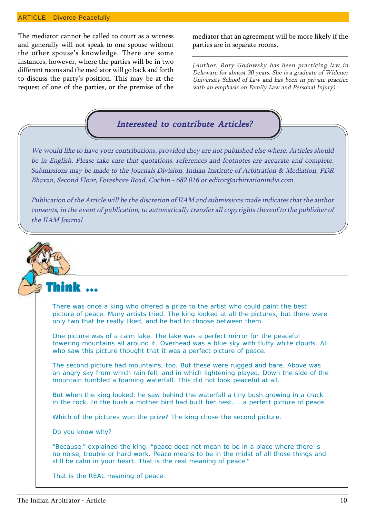#### ARTICLE - Divorce Peacefully

The mediator cannot be called to court as a witness and generally will not speak to one spouse without the other spouse's knowledge. There are some instances, however, where the parties will be in two different rooms and the mediator will go back and forth to discuss the partyís position. This may be at the request of one of the parties, or the premise of the mediator that an agreement will be more likely if the parties are in separate rooms.

(Author: Rory Godowsky has been practicing law in Delaware for almost 30 years. She is a graduate of Widener University School of Law and has been in private practice with an emphasis on Family Law and Personal Injury)

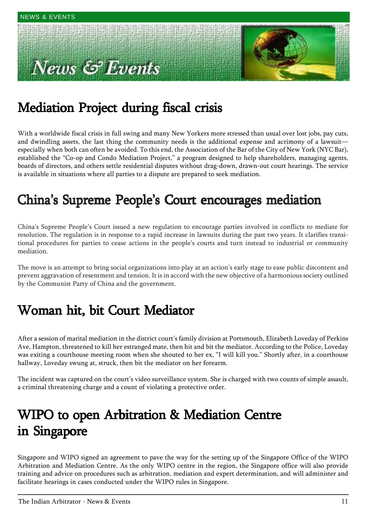# ews & Events



## Mediation Project during fiscal crisis

With a worldwide fiscal crisis in full swing and many New Yorkers more stressed than usual over lost jobs, pay cuts, and dwindling assets, the last thing the community needs is the additional expense and acrimony of a lawsuit especially when both can often be avoided. To this end, the Association of the Bar of the City of New York (NYC Bar), established the "Co-op and Condo Mediation Project," a program designed to help shareholders, managing agents, boards of directors, and others settle residential disputes without drag-down, drawn-out court hearings. The service is available in situations where all parties to a dispute are prepared to seek mediation.

### China's Supreme People's Court encourages mediation

Chinaís Supreme Peopleís Court issued a new regulation to encourage parties involved in conflicts to mediate for resolution. The regulation is in response to a rapid increase in lawsuits during the past two years. It clarifies transitional procedures for parties to cease actions in the people's courts and turn instead to industrial or community mediation.

The move is an attempt to bring social organizations into play at an action's early stage to ease public discontent and prevent aggravation of resentment and tension. It is in accord with the new objective of a harmonious society outlined by the Communist Party of China and the government.

### Woman hit, bit Court Mediator

After a session of marital mediation in the district court's family division at Portsmouth, Elizabeth Loveday of Perkins Ave, Hampton, threatened to kill her estranged mate, then hit and bit the mediator. According to the Police, Loveday was exiting a courthouse meeting room when she shouted to her ex, "I will kill you." Shortly after, in a courthouse hallway, Loveday swung at, struck, then bit the mediator on her forearm.

The incident was captured on the court's video surveillance system. She is charged with two counts of simple assault, a criminal threatening charge and a count of violating a protective order.

### WIPO to open Arbitration & Mediation Centre in Singapore

Singapore and WIPO signed an agreement to pave the way for the setting up of the Singapore Office of the WIPO Arbitration and Mediation Centre. As the only WIPO centre in the region, the Singapore office will also provide training and advice on procedures such as arbitration, mediation and expert determination, and will administer and facilitate hearings in cases conducted under the WIPO rules in Singapore.